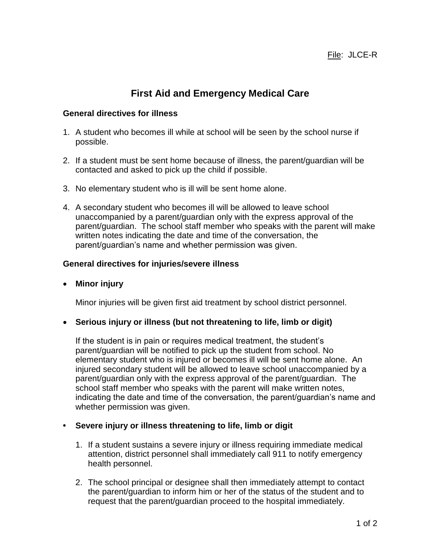# **First Aid and Emergency Medical Care**

### **General directives for illness**

- 1. A student who becomes ill while at school will be seen by the school nurse if possible.
- 2. If a student must be sent home because of illness, the parent/guardian will be contacted and asked to pick up the child if possible.
- 3. No elementary student who is ill will be sent home alone.
- 4. A secondary student who becomes ill will be allowed to leave school unaccompanied by a parent/guardian only with the express approval of the parent/guardian. The school staff member who speaks with the parent will make written notes indicating the date and time of the conversation, the parent/guardian's name and whether permission was given.

## **General directives for injuries/severe illness**

**Minor injury**

Minor injuries will be given first aid treatment by school district personnel.

### **Serious injury or illness (but not threatening to life, limb or digit)**

If the student is in pain or requires medical treatment, the student's parent/guardian will be notified to pick up the student from school. No elementary student who is injured or becomes ill will be sent home alone. An injured secondary student will be allowed to leave school unaccompanied by a parent/guardian only with the express approval of the parent/guardian.The school staff member who speaks with the parent will make written notes, indicating the date and time of the conversation, the parent/guardian's name and whether permission was given.

## **• Severe injury or illness threatening to life, limb or digit**

- 1. If a student sustains a severe injury or illness requiring immediate medical attention, district personnel shall immediately call 911 to notify emergency health personnel.
- 2. The school principal or designee shall then immediately attempt to contact the parent/guardian to inform him or her of the status of the student and to request that the parent/guardian proceed to the hospital immediately.